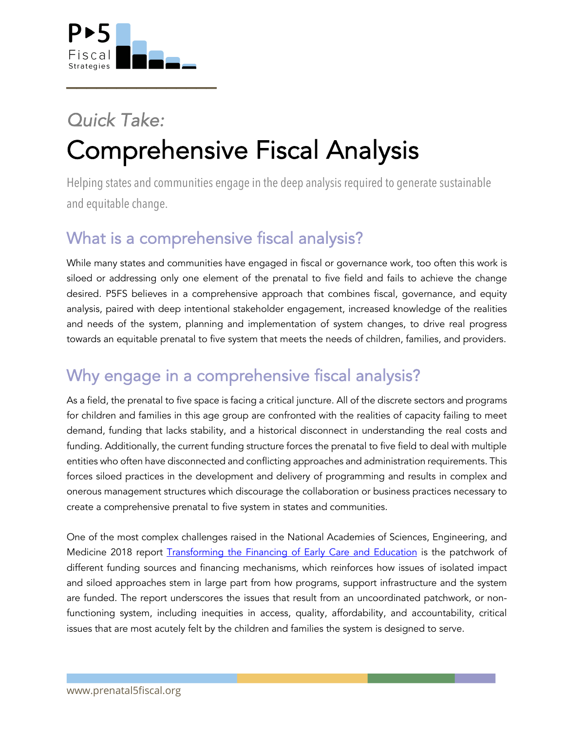

!!!!!!!!!!!!!!!

## *Quick Take:* Comprehensive Fiscal Analysis

Helping states and communities engage in the deep analysis required to generate sustainable and equitable change.

## What is a comprehensive fiscal analysis?

While many states and communities have engaged in fiscal or governance work, too often this work is siloed or addressing only one element of the prenatal to five field and fails to achieve the change desired. P5FS believes in a comprehensive approach that combines fiscal, governance, and equity analysis, paired with deep intentional stakeholder engagement, increased knowledge of the realities and needs of the system, planning and implementation of system changes, to drive real progress towards an equitable prenatal to five system that meets the needs of children, families, and providers.

## Why engage in a comprehensive fiscal analysis?

As a field, the prenatal to five space is facing a critical juncture. All of the discrete sectors and programs for children and families in this age group are confronted with the realities of capacity failing to meet demand, funding that lacks stability, and a historical disconnect in understanding the real costs and funding. Additionally, the current funding structure forces the prenatal to five field to deal with multiple entities who often have disconnected and conflicting approaches and administration requirements. This forces siloed practices in the development and delivery of programming and results in complex and onerous management structures which discourage the collaboration or business practices necessary to create a comprehensive prenatal to five system in states and communities.

One of the most complex challenges raised in the National Academies of Sciences, Engineering, and Medicine 2018 report Transforming the Financing of Early Care and Education is the patchwork of different funding sources and financing mechanisms, which reinforces how issues of isolated impact and siloed approaches stem in large part from how programs, support infrastructure and the system are funded. The report underscores the issues that result from an uncoordinated patchwork, or nonfunctioning system, including inequities in access, quality, affordability, and accountability, critical issues that are most acutely felt by the children and families the system is designed to serve.